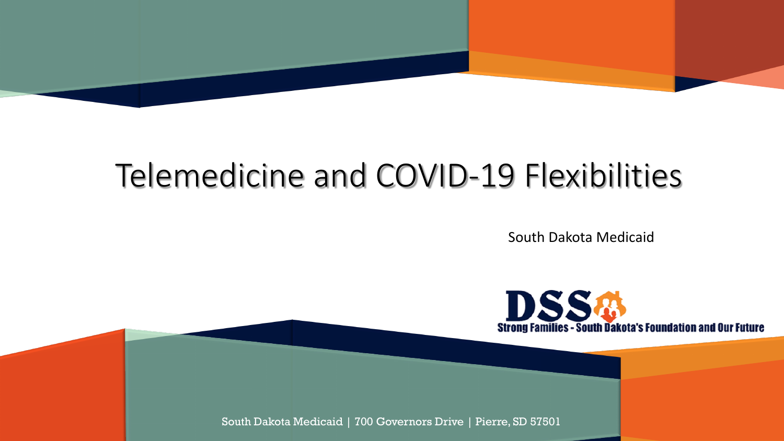

## Telemedicine and COVID-19 Flexibilities

South Dakota Medicaid



South Dakota Medicaid | 700 Governors Drive | Pierre, SD 57501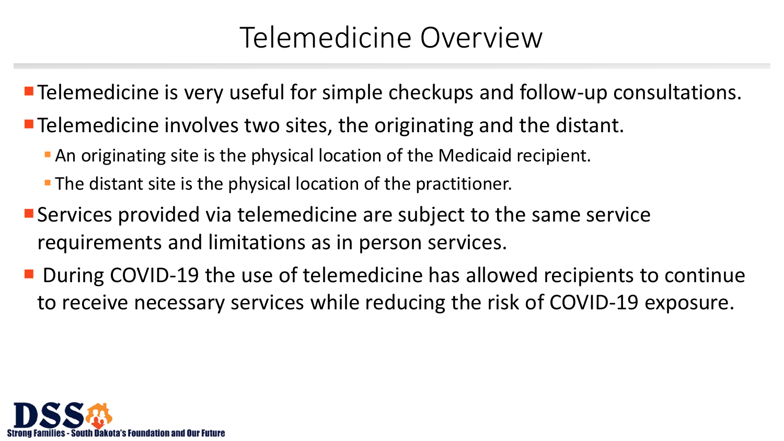## Telemedicine Overview

- **Telemedicine is very useful for simple checkups and follow-up consultations.**
- **Telemedicine involves two sites, the originating and the distant.** 
	- An originating site is the physical location of the Medicaid recipient.
	- **The distant site is the physical location of the practitioner.**
- Services provided via telemedicine are subject to the same service requirements and limitations as in person services.
- During COVID-19 the use of telemedicine has allowed recipients to continue to receive necessary services while reducing the risk of COVID-19 exposure.

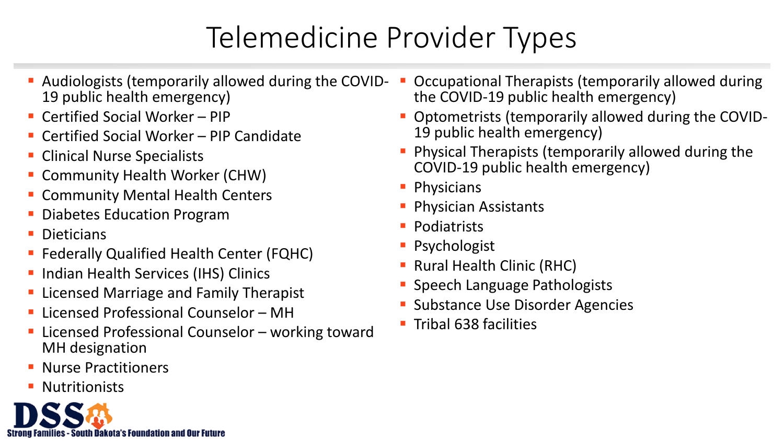# Telemedicine Provider Types

- Audiologists (temporarily allowed during the COVID- 19 public health emergency)
- Certified Social Worker PIP
- Certified Social Worker PIP Candidate
- **Clinical Nurse Specialists**
- **Community Health Worker (CHW)**
- **E** Community Mental Health Centers
- Diabetes Education Program
- **Dieticians**
- **Federally Qualified Health Center (FQHC)**
- **Indian Health Services (IHS) Clinics**
- **Exercised Marriage and Family Therapist**
- **Licensed Professional Counselor MH**
- Licensed Professional Counselor working toward MH designation
- Nurse Practitioners
- Nutritionists



- Occupational Therapists (temporarily allowed during the COVID-19 public health emergency)
- Optometrists (temporarily allowed during the COVID- 19 public health emergency)
- **Physical Therapists (temporarily allowed during the** COVID-19 public health emergency)
- **Physicians**
- **Physician Assistants**
- **Podiatrists**
- **Psychologist**
- **Rural Health Clinic (RHC)**
- **Speech Language Pathologists**
- **Substance Use Disorder Agencies**
- $\blacksquare$  Tribal 638 facilities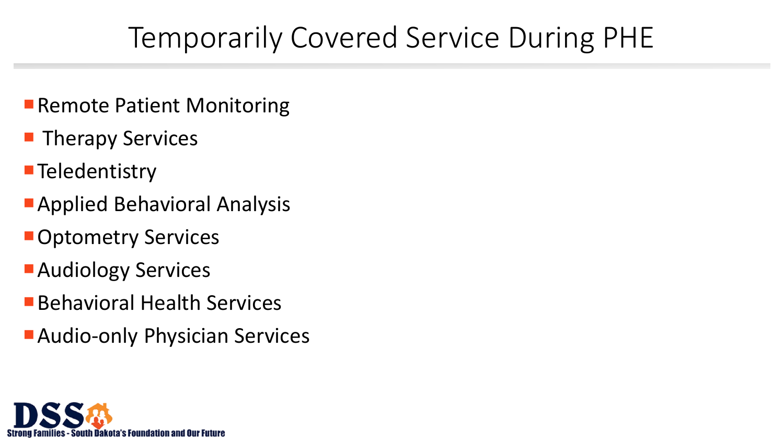## Temporarily Covered Service During PHE

- **Remote Patient Monitoring**
- **Therapy Services**
- **Teledentistry**
- Applied Behavioral Analysis
- **Optometry Services**
- **Audiology Services**
- Behavioral Health Services
- Audio-only Physician Services

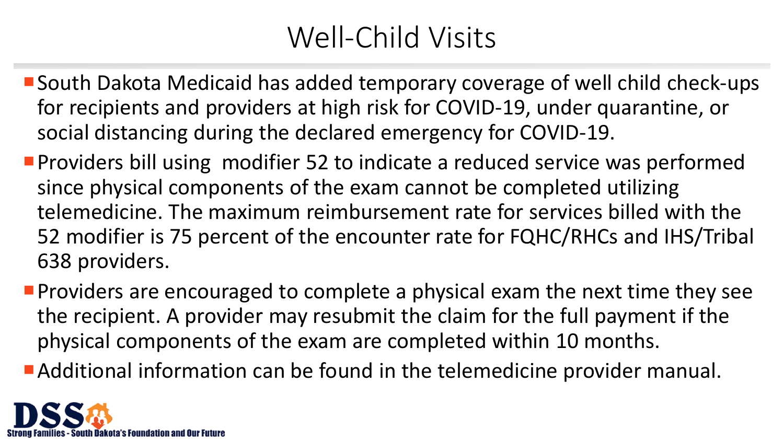## Well-Child Visits

- South Dakota Medicaid has added temporary coverage of well child check-ups for recipients and providers at high risk for COVID-19, under quarantine, or social distancing during the declared emergency for COVID-19.
- **Providers bill using modifier 52 to indicate a reduced service was performed** since physical components of the exam cannot be completed utilizing telemedicine. The maximum reimbursement rate for services billed with the 52 modifier is 75 percent of the encounter rate for FQHC/RHCs and IHS/Tribal 638 providers.
- **Providers are encouraged to complete a physical exam the next time they see** the recipient. A provider may resubmit the claim for the full payment if the physical components of the exam are completed within 10 months.
- Additional information can be found in the telemedicine provider manual.

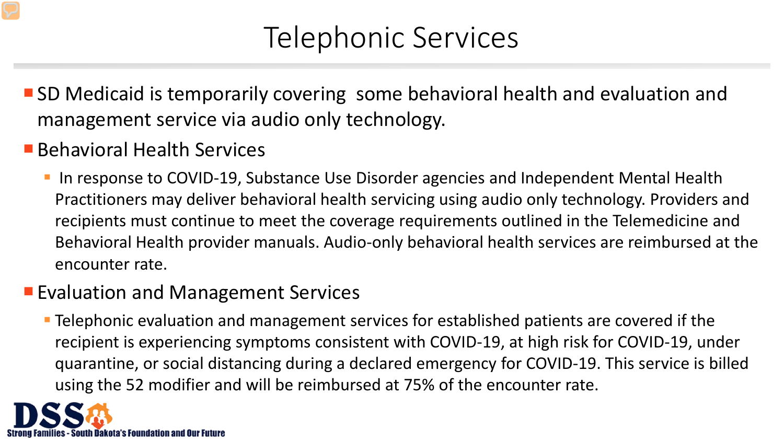## Telephonic Services

- SD Medicaid is temporarily covering some behavioral health and evaluation and management service via audio only technology.
- Behavioral Health Services
	- In response to COVID-19, Substance Use Disorder agencies and Independent Mental Health Practitioners may deliver behavioral health servicing using audio only technology. Providers and recipients must continue to meet the coverage requirements outlined in the Telemedicine and Behavioral Health provider manuals. Audio-only behavioral health services are reimbursed at the encounter rate.
- **Evaluation and Management Services** 
	- **Telephonic evaluation and management services for established patients are covered if the** recipient is experiencing symptoms consistent with COVID-19, at high risk for COVID-19, under quarantine, or social distancing during a declared emergency for COVID-19. This service is billed using the 52 modifier and will be reimbursed at 75% of the encounter rate.

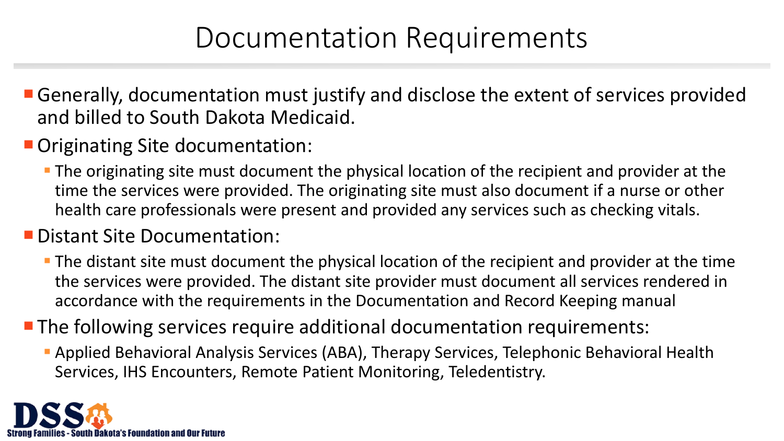### Documentation Requirements

- Generally, documentation must justify and disclose the extent of services provided and billed to South Dakota Medicaid.
- **Originating Site documentation:** 
	- **The originating site must document the physical location of the recipient and provider at the** time the services were provided. The originating site must also document if a nurse or other health care professionals were present and provided any services such as checking vitals.

#### **Distant Site Documentation:**

- The distant site must document the physical location of the recipient and provider at the time the services were provided. The distant site provider must document all services rendered in accordance with the requirements in the Documentation and Record Keeping manual
- **The following services require additional documentation requirements:** 
	- Applied Behavioral Analysis Services (ABA), Therapy Services, Telephonic Behavioral Health Services, IHS Encounters, Remote Patient Monitoring, Teledentistry.

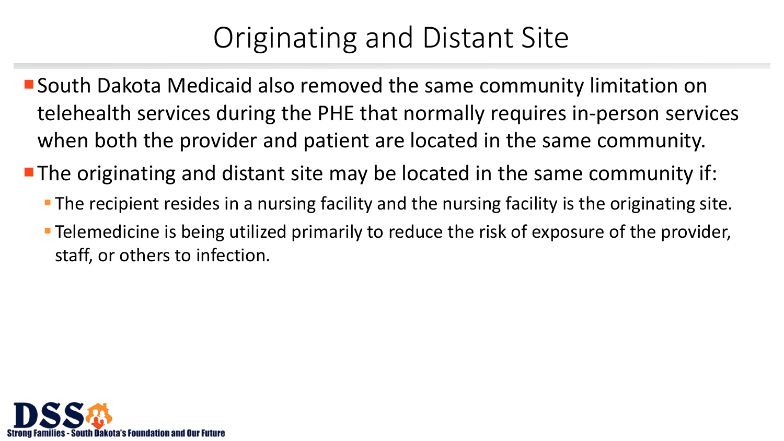## Originating and Distant Site

- South Dakota Medicaid also removed the same community limitation on telehealth services during the PHE that normally requires in-person services when both the provider and patient are located in the same community.
- **The originating and distant site may be located in the same community if:** 
	- **The recipient resides in a nursing facility and the nursing facility is the originating site.**
	- **Telemedicine is being utilized primarily to reduce the risk of exposure of the provider,** staff, or others to infection.

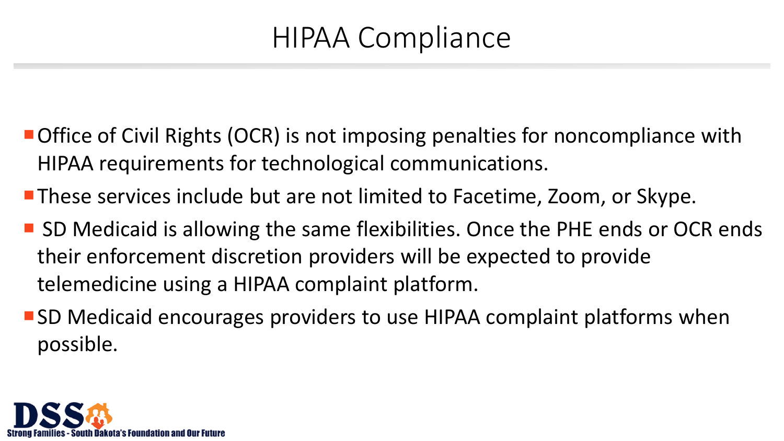## HIPAA Compliance

- Office of Civil Rights (OCR) is not imposing penalties for noncompliance with HIPAA requirements for technological communications.
- **These services include but are not limited to Facetime, Zoom, or Skype.**
- SD Medicaid is allowing the same flexibilities. Once the PHE ends or OCR ends their enforcement discretion providers will be expected to provide telemedicine using a HIPAA complaint platform.
- SD Medicaid encourages providers to use HIPAA complaint platforms when possible.